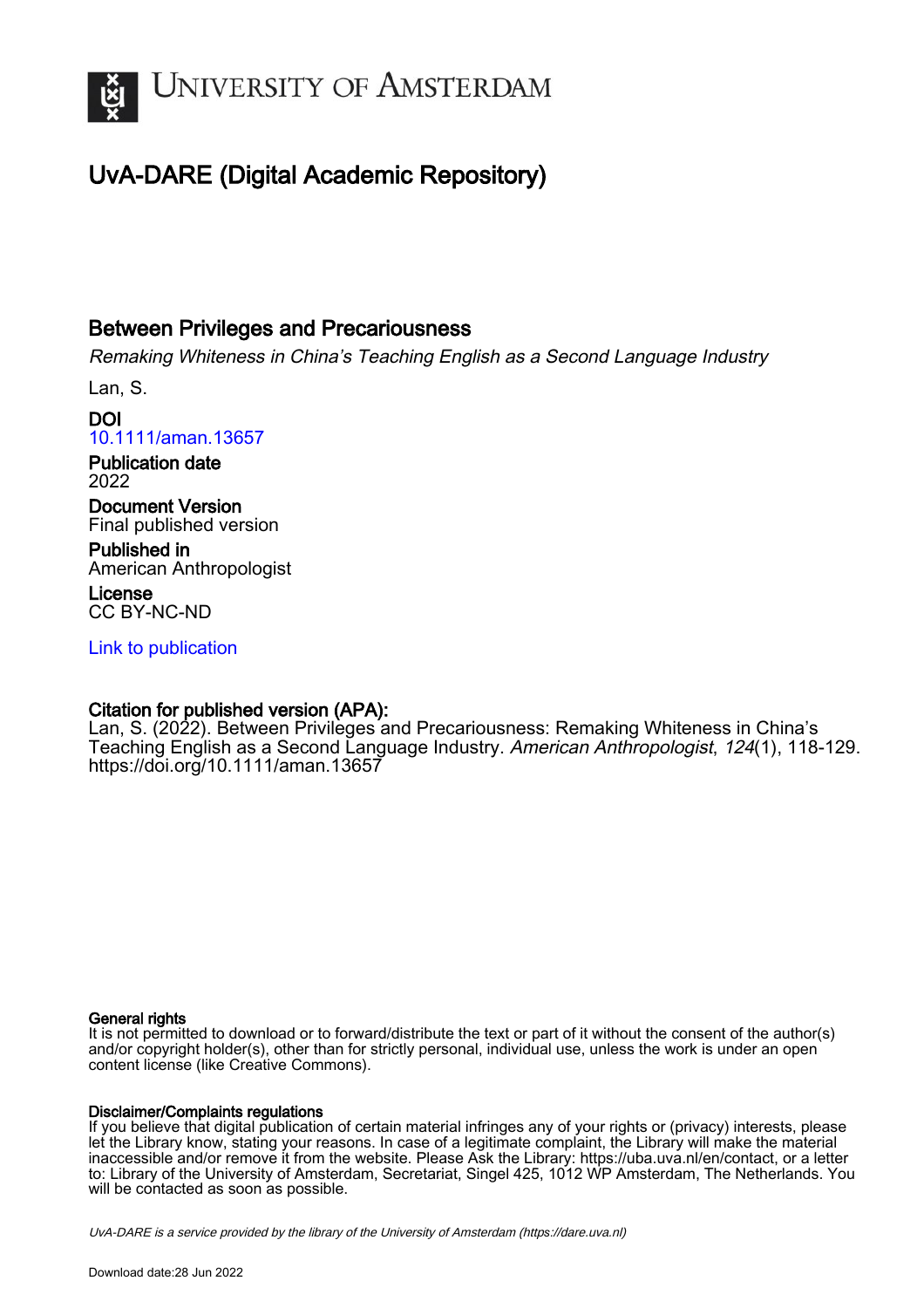

# UvA-DARE (Digital Academic Repository)

## Between Privileges and Precariousness

Remaking Whiteness in China's Teaching English as a Second Language Industry

Lan, S.

DOI [10.1111/aman.13657](https://doi.org/10.1111/aman.13657)

Publication date 2022

Document Version Final published version

Published in American Anthropologist

License CC BY-NC-ND

[Link to publication](https://dare.uva.nl/personal/pure/en/publications/between-privileges-and-precariousness(93f63221-816d-460c-9baa-dc1528f44c83).html)

## Citation for published version (APA):

Lan, S. (2022). Between Privileges and Precariousness: Remaking Whiteness in China's Teaching English as a Second Language Industry. American Anthropologist, 124(1), 118-129. <https://doi.org/10.1111/aman.13657>

### General rights

It is not permitted to download or to forward/distribute the text or part of it without the consent of the author(s) and/or copyright holder(s), other than for strictly personal, individual use, unless the work is under an open content license (like Creative Commons).

### Disclaimer/Complaints regulations

If you believe that digital publication of certain material infringes any of your rights or (privacy) interests, please let the Library know, stating your reasons. In case of a legitimate complaint, the Library will make the material inaccessible and/or remove it from the website. Please Ask the Library: https://uba.uva.nl/en/contact, or a letter to: Library of the University of Amsterdam, Secretariat, Singel 425, 1012 WP Amsterdam, The Netherlands. You will be contacted as soon as possible.

UvA-DARE is a service provided by the library of the University of Amsterdam (http*s*://dare.uva.nl)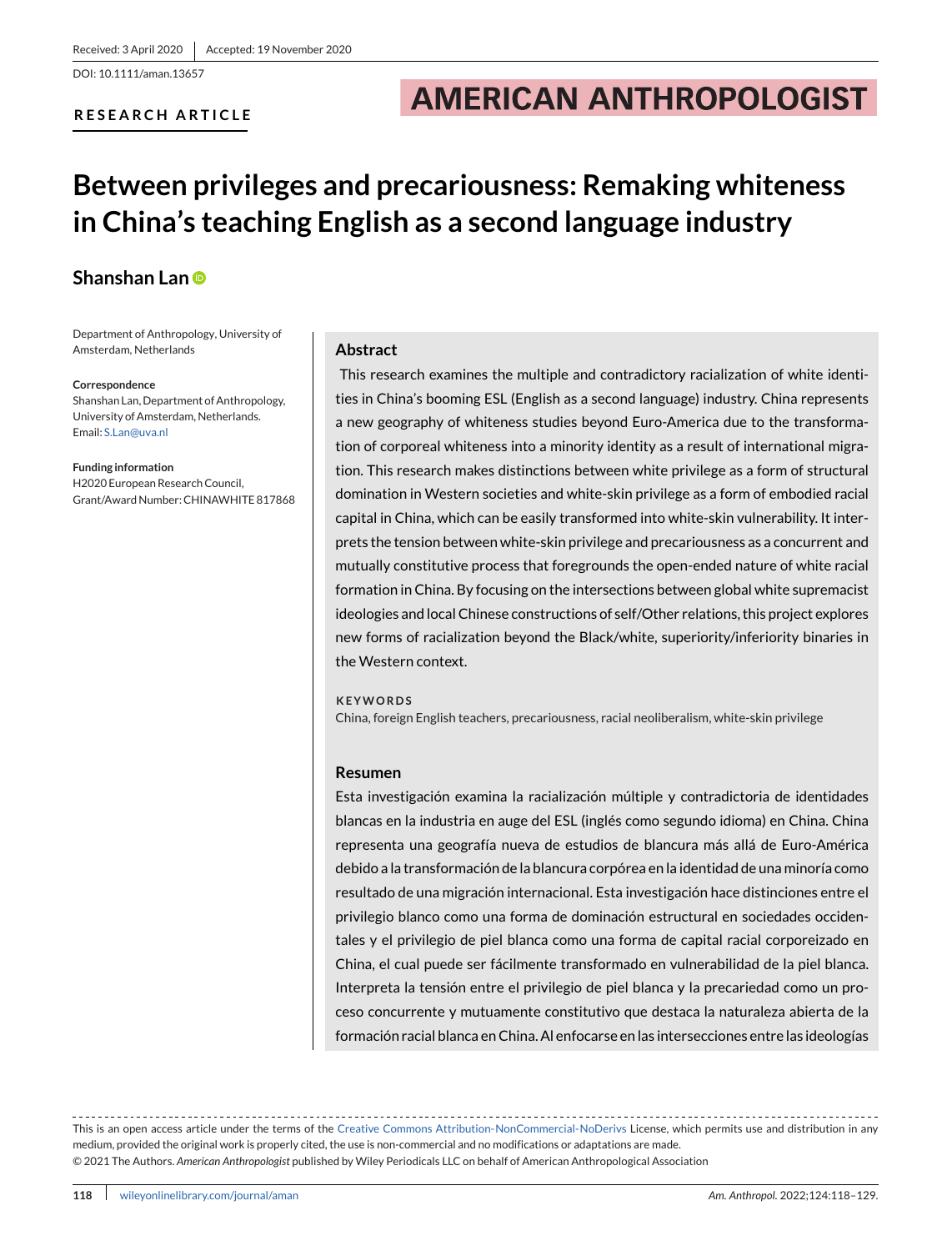DOI: 10.1111/aman.13657

### **RESEARCH ARTICLE**

# **AMERICAN ANTHROPOLOGIST**

# **Between privileges and precariousness: Remaking whiteness in China's teaching English as a second language industry**

### **Shanshan Lan**

Department of Anthropology, University of Amsterdam, Netherlands

#### **Correspondence**

Shanshan Lan, Department of Anthropology, University of Amsterdam, Netherlands. Email: [S.Lan@uva.nl](mailto:S.Lan@uva.nl)

**Funding information** H2020 European Research Council, Grant/Award Number: CHINAWHITE 817868

#### **Abstract**

This research examines the multiple and contradictory racialization of white identities in China's booming ESL (English as a second language) industry. China represents a new geography of whiteness studies beyond Euro-America due to the transformation of corporeal whiteness into a minority identity as a result of international migration. This research makes distinctions between white privilege as a form of structural domination in Western societies and white-skin privilege as a form of embodied racial capital in China, which can be easily transformed into white-skin vulnerability. It interprets the tension between white-skin privilege and precariousness as a concurrent and mutually constitutive process that foregrounds the open-ended nature of white racial formation in China. By focusing on the intersections between global white supremacist ideologies and local Chinese constructions of self/Other relations, this project explores new forms of racialization beyond the Black/white, superiority/inferiority binaries in the Western context.

#### **KEYWORDS**

China, foreign English teachers, precariousness, racial neoliberalism, white-skin privilege

#### **Resumen**

Esta investigación examina la racialización múltiple y contradictoria de identidades blancas en la industria en auge del ESL (inglés como segundo idioma) en China. China representa una geografía nueva de estudios de blancura más allá de Euro-América debido a la transformación de la blancura corpórea en la identidad de una minoría como resultado de una migración internacional. Esta investigación hace distinciones entre el privilegio blanco como una forma de dominación estructural en sociedades occidentales y el privilegio de piel blanca como una forma de capital racial corporeizado en China, el cual puede ser fácilmente transformado en vulnerabilidad de la piel blanca. Interpreta la tensión entre el privilegio de piel blanca y la precariedad como un proceso concurrente y mutuamente constitutivo que destaca la naturaleza abierta de la formación racial blanca en China. Al enfocarse en las intersecciones entre las ideologías

This is an open access article under the terms of the [Creative Commons Attribution-NonCommercial-NoDerivs](http://creativecommons.org/licenses/by-nc-nd/4.0/) License, which permits use and distribution in any medium, provided the original work is properly cited, the use is non-commercial and no modifications or adaptations are made. © 2021 The Authors. *American Anthropologist* published by Wiley Periodicals LLC on behalf of American Anthropological Association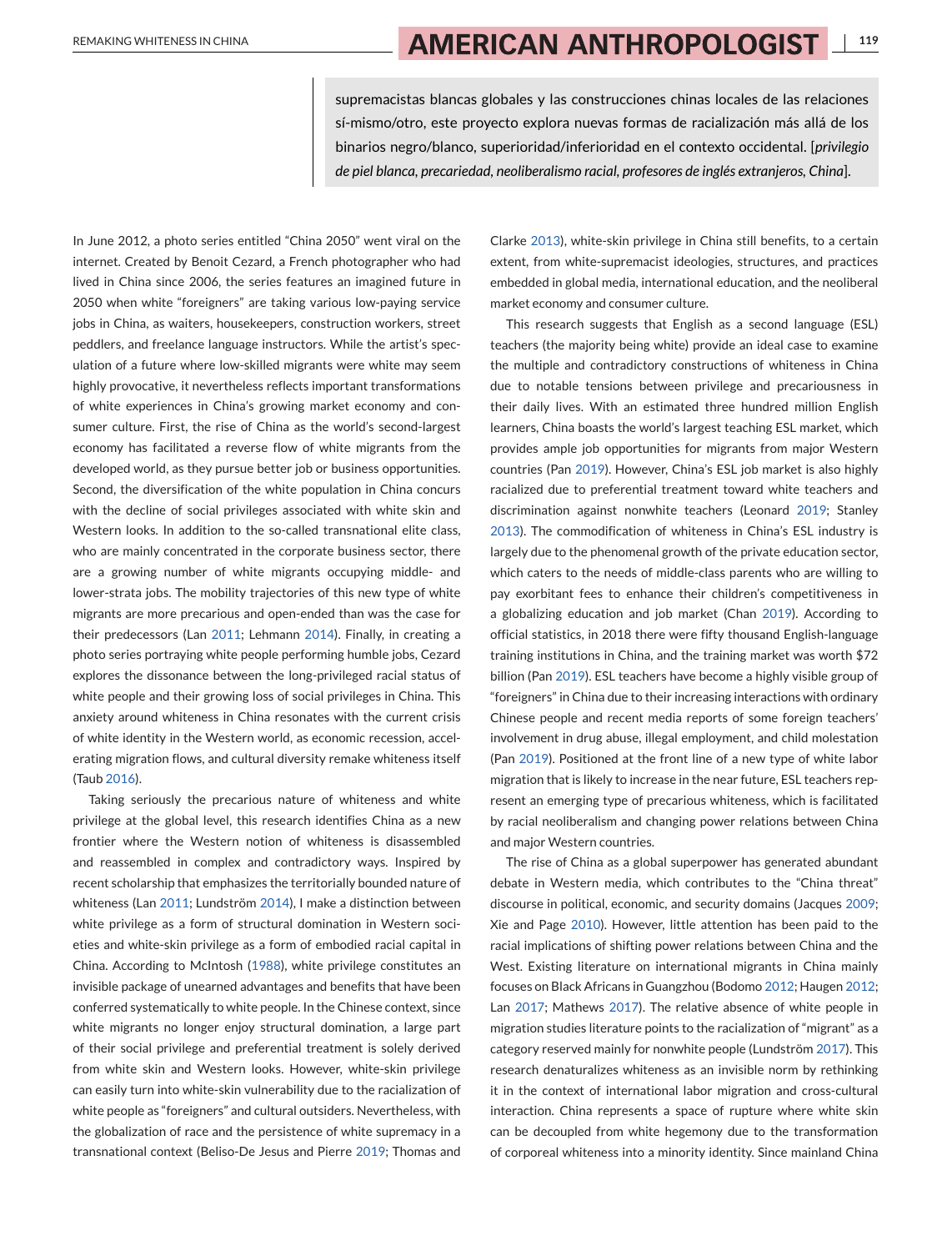supremacistas blancas globales y las construcciones chinas locales de las relaciones sí-mismo/otro, este proyecto explora nuevas formas de racialización más allá de los binarios negro/blanco, superioridad/inferioridad en el contexto occidental. [*privilegio de piel blanca, precariedad, neoliberalismo racial, profesores de inglés extranjeros, China*].

In June 2012, a photo series entitled "China 2050" went viral on the internet. Created by Benoit Cezard, a French photographer who had lived in China since 2006, the series features an imagined future in 2050 when white "foreigners" are taking various low-paying service jobs in China, as waiters, housekeepers, construction workers, street peddlers, and freelance language instructors. While the artist's speculation of a future where low-skilled migrants were white may seem highly provocative, it nevertheless reflects important transformations of white experiences in China's growing market economy and consumer culture. First, the rise of China as the world's second-largest economy has facilitated a reverse flow of white migrants from the developed world, as they pursue better job or business opportunities. Second, the diversification of the white population in China concurs with the decline of social privileges associated with white skin and Western looks. In addition to the so-called transnational elite class, who are mainly concentrated in the corporate business sector, there are a growing number of white migrants occupying middle- and lower-strata jobs. The mobility trajectories of this new type of white migrants are more precarious and open-ended than was the case for their predecessors (Lan [2011;](#page-11-0) Lehmann [2014\)](#page-11-0). Finally, in creating a photo series portraying white people performing humble jobs, Cezard explores the dissonance between the long-privileged racial status of white people and their growing loss of social privileges in China. This anxiety around whiteness in China resonates with the current crisis of white identity in the Western world, as economic recession, accelerating migration flows, and cultural diversity remake whiteness itself (Taub [2016\)](#page-11-0).

Taking seriously the precarious nature of whiteness and white privilege at the global level, this research identifies China as a new frontier where the Western notion of whiteness is disassembled and reassembled in complex and contradictory ways. Inspired by recent scholarship that emphasizes the territorially bounded nature of whiteness (Lan [2011;](#page-11-0) Lundström [2014\)](#page-11-0), I make a distinction between white privilege as a form of structural domination in Western societies and white-skin privilege as a form of embodied racial capital in China. According to McIntosh [\(1988\)](#page-11-0), white privilege constitutes an invisible package of unearned advantages and benefits that have been conferred systematically to white people. In the Chinese context, since white migrants no longer enjoy structural domination, a large part of their social privilege and preferential treatment is solely derived from white skin and Western looks. However, white-skin privilege can easily turn into white-skin vulnerability due to the racialization of white people as "foreigners" and cultural outsiders. Nevertheless, with the globalization of race and the persistence of white supremacy in a transnational context (Beliso-De Jesus and Pierre [2019;](#page-10-0) Thomas and

Clarke [2013\)](#page-11-0), white-skin privilege in China still benefits, to a certain extent, from white-supremacist ideologies, structures, and practices embedded in global media, international education, and the neoliberal market economy and consumer culture.

This research suggests that English as a second language (ESL) teachers (the majority being white) provide an ideal case to examine the multiple and contradictory constructions of whiteness in China due to notable tensions between privilege and precariousness in their daily lives. With an estimated three hundred million English learners, China boasts the world's largest teaching ESL market, which provides ample job opportunities for migrants from major Western countries (Pan [2019\)](#page-11-0). However, China's ESL job market is also highly racialized due to preferential treatment toward white teachers and discrimination against nonwhite teachers (Leonard [2019;](#page-11-0) Stanley [2013\)](#page-11-0). The commodification of whiteness in China's ESL industry is largely due to the phenomenal growth of the private education sector, which caters to the needs of middle-class parents who are willing to pay exorbitant fees to enhance their children's competitiveness in a globalizing education and job market (Chan [2019\)](#page-11-0). According to official statistics, in 2018 there were fifty thousand English-language training institutions in China, and the training market was worth \$72 billion (Pan [2019\)](#page-11-0). ESL teachers have become a highly visible group of "foreigners" in China due to their increasing interactions with ordinary Chinese people and recent media reports of some foreign teachers' involvement in drug abuse, illegal employment, and child molestation (Pan [2019\)](#page-11-0). Positioned at the front line of a new type of white labor migration that is likely to increase in the near future, ESL teachers represent an emerging type of precarious whiteness, which is facilitated by racial neoliberalism and changing power relations between China and major Western countries.

The rise of China as a global superpower has generated abundant debate in Western media, which contributes to the "China threat" discourse in political, economic, and security domains (Jacques [2009;](#page-11-0) Xie and Page [2010\)](#page-12-0). However, little attention has been paid to the racial implications of shifting power relations between China and the West. Existing literature on international migrants in China mainly focuses on Black Africans in Guangzhou (Bodomo [2012;](#page-10-0) Haugen [2012;](#page-11-0) Lan [2017;](#page-11-0) Mathews [2017\)](#page-11-0). The relative absence of white people in migration studies literature points to the racialization of "migrant" as a category reserved mainly for nonwhite people (Lundström [2017\)](#page-11-0). This research denaturalizes whiteness as an invisible norm by rethinking it in the context of international labor migration and cross-cultural interaction. China represents a space of rupture where white skin can be decoupled from white hegemony due to the transformation of corporeal whiteness into a minority identity. Since mainland China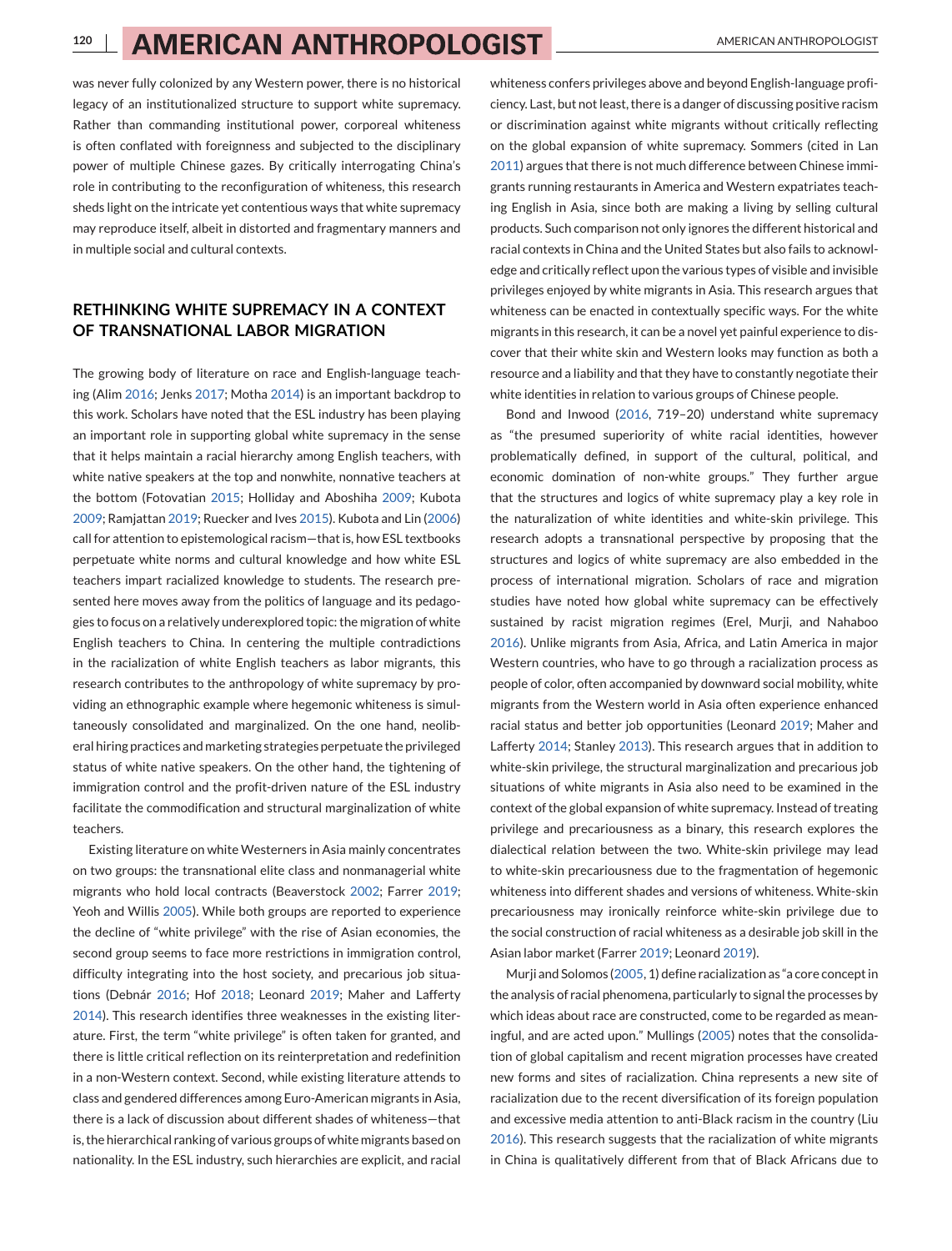was never fully colonized by any Western power, there is no historical legacy of an institutionalized structure to support white supremacy. Rather than commanding institutional power, corporeal whiteness is often conflated with foreignness and subjected to the disciplinary power of multiple Chinese gazes. By critically interrogating China's role in contributing to the reconfiguration of whiteness, this research sheds light on the intricate yet contentious ways that white supremacy may reproduce itself, albeit in distorted and fragmentary manners and in multiple social and cultural contexts.

### **RETHINKING WHITE SUPREMACY IN A CONTEXT OF TRANSNATIONAL LABOR MIGRATION**

The growing body of literature on race and English-language teaching (Alim [2016;](#page-10-0) Jenks [2017;](#page-11-0) Motha [2014\)](#page-11-0) is an important backdrop to this work. Scholars have noted that the ESL industry has been playing an important role in supporting global white supremacy in the sense that it helps maintain a racial hierarchy among English teachers, with white native speakers at the top and nonwhite, nonnative teachers at the bottom (Fotovatian [2015;](#page-11-0) Holliday and Aboshiha [2009;](#page-11-0) Kubota [2009;](#page-11-0) Ramjattan [2019;](#page-11-0) Ruecker and Ives [2015\)](#page-11-0). Kubota and Lin [\(2006\)](#page-11-0) call for attention to epistemological racism—that is, how ESL textbooks perpetuate white norms and cultural knowledge and how white ESL teachers impart racialized knowledge to students. The research presented here moves away from the politics of language and its pedagogies to focus on a relatively underexplored topic: the migration of white English teachers to China. In centering the multiple contradictions in the racialization of white English teachers as labor migrants, this research contributes to the anthropology of white supremacy by providing an ethnographic example where hegemonic whiteness is simultaneously consolidated and marginalized. On the one hand, neoliberal hiring practices and marketing strategies perpetuate the privileged status of white native speakers. On the other hand, the tightening of immigration control and the profit-driven nature of the ESL industry facilitate the commodification and structural marginalization of white teachers.

Existing literature on white Westerners in Asia mainly concentrates on two groups: the transnational elite class and nonmanagerial white migrants who hold local contracts (Beaverstock [2002;](#page-10-0) Farrer [2019;](#page-11-0) Yeoh and Willis [2005\)](#page-12-0). While both groups are reported to experience the decline of "white privilege" with the rise of Asian economies, the second group seems to face more restrictions in immigration control, difficulty integrating into the host society, and precarious job situations (Debnár [2016;](#page-11-0) Hof [2018;](#page-11-0) Leonard [2019;](#page-11-0) Maher and Lafferty [2014\)](#page-11-0). This research identifies three weaknesses in the existing literature. First, the term "white privilege" is often taken for granted, and there is little critical reflection on its reinterpretation and redefinition in a non-Western context. Second, while existing literature attends to class and gendered differences among Euro-American migrants in Asia, there is a lack of discussion about different shades of whiteness—that is, the hierarchical ranking of various groups of white migrants based on nationality. In the ESL industry, such hierarchies are explicit, and racial

whiteness confers privileges above and beyond English-language proficiency. Last, but not least, there is a danger of discussing positive racism or discrimination against white migrants without critically reflecting on the global expansion of white supremacy. Sommers (cited in Lan [2011\)](#page-11-0) argues that there is not much difference between Chinese immigrants running restaurants in America and Western expatriates teaching English in Asia, since both are making a living by selling cultural products. Such comparison not only ignores the different historical and racial contexts in China and the United States but also fails to acknowledge and critically reflect upon the various types of visible and invisible privileges enjoyed by white migrants in Asia. This research argues that whiteness can be enacted in contextually specific ways. For the white migrants in this research, it can be a novel yet painful experience to discover that their white skin and Western looks may function as both a resource and a liability and that they have to constantly negotiate their white identities in relation to various groups of Chinese people.

Bond and Inwood [\(2016,](#page-10-0) 719–20) understand white supremacy as "the presumed superiority of white racial identities, however problematically defined, in support of the cultural, political, and economic domination of non-white groups." They further argue that the structures and logics of white supremacy play a key role in the naturalization of white identities and white-skin privilege. This research adopts a transnational perspective by proposing that the structures and logics of white supremacy are also embedded in the process of international migration. Scholars of race and migration studies have noted how global white supremacy can be effectively sustained by racist migration regimes (Erel, Murji, and Nahaboo [2016\)](#page-11-0). Unlike migrants from Asia, Africa, and Latin America in major Western countries, who have to go through a racialization process as people of color, often accompanied by downward social mobility, white migrants from the Western world in Asia often experience enhanced racial status and better job opportunities (Leonard [2019;](#page-11-0) Maher and Lafferty [2014;](#page-11-0) Stanley [2013\)](#page-11-0). This research argues that in addition to white-skin privilege, the structural marginalization and precarious job situations of white migrants in Asia also need to be examined in the context of the global expansion of white supremacy. Instead of treating privilege and precariousness as a binary, this research explores the dialectical relation between the two. White-skin privilege may lead to white-skin precariousness due to the fragmentation of hegemonic whiteness into different shades and versions of whiteness. White-skin precariousness may ironically reinforce white-skin privilege due to the social construction of racial whiteness as a desirable job skill in the Asian labor market (Farrer [2019;](#page-11-0) Leonard [2019\)](#page-11-0).

Murji and Solomos [\(2005,](#page-11-0) 1) define racialization as "a core concept in the analysis of racial phenomena, particularly to signal the processes by which ideas about race are constructed, come to be regarded as meaningful, and are acted upon." Mullings [\(2005\)](#page-11-0) notes that the consolidation of global capitalism and recent migration processes have created new forms and sites of racialization. China represents a new site of racialization due to the recent diversification of its foreign population and excessive media attention to anti-Black racism in the country (Liu [2016\)](#page-11-0). This research suggests that the racialization of white migrants in China is qualitatively different from that of Black Africans due to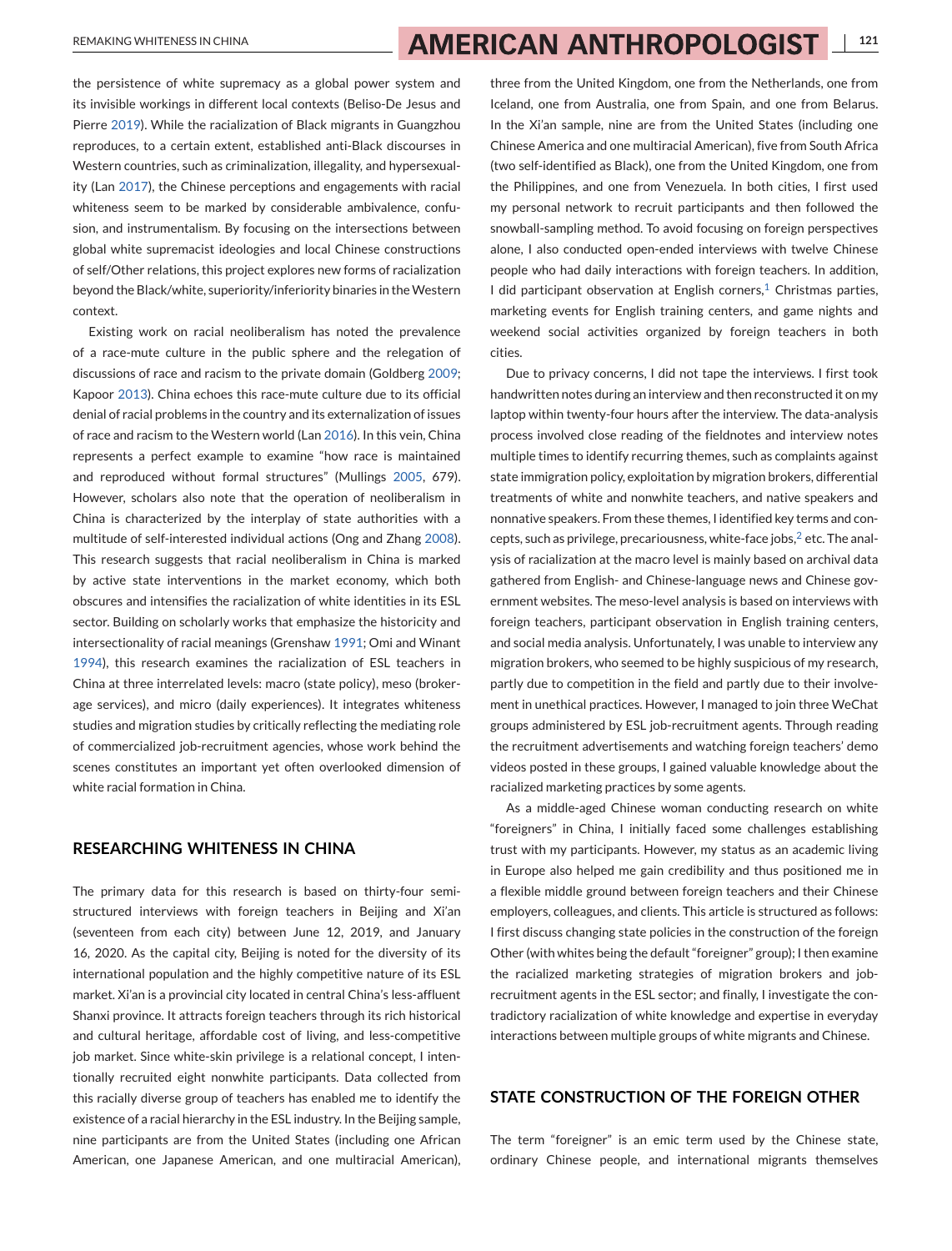the persistence of white supremacy as a global power system and its invisible workings in different local contexts (Beliso-De Jesus and Pierre [2019\)](#page-10-0). While the racialization of Black migrants in Guangzhou reproduces, to a certain extent, established anti-Black discourses in Western countries, such as criminalization, illegality, and hypersexuality (Lan [2017\)](#page-11-0), the Chinese perceptions and engagements with racial whiteness seem to be marked by considerable ambivalence, confusion, and instrumentalism. By focusing on the intersections between global white supremacist ideologies and local Chinese constructions of self/Other relations, this project explores new forms of racialization beyond the Black/white, superiority/inferiority binaries in theWestern context.

Existing work on racial neoliberalism has noted the prevalence of a race-mute culture in the public sphere and the relegation of discussions of race and racism to the private domain (Goldberg [2009;](#page-11-0) Kapoor [2013\)](#page-11-0). China echoes this race-mute culture due to its official denial of racial problems in the country and its externalization of issues of race and racism to the Western world (Lan [2016\)](#page-11-0). In this vein, China represents a perfect example to examine "how race is maintained and reproduced without formal structures" (Mullings [2005,](#page-11-0) 679). However, scholars also note that the operation of neoliberalism in China is characterized by the interplay of state authorities with a multitude of self-interested individual actions (Ong and Zhang [2008\)](#page-11-0). This research suggests that racial neoliberalism in China is marked by active state interventions in the market economy, which both obscures and intensifies the racialization of white identities in its ESL sector. Building on scholarly works that emphasize the historicity and intersectionality of racial meanings (Grenshaw [1991;](#page-11-0) Omi and Winant [1994\)](#page-11-0), this research examines the racialization of ESL teachers in China at three interrelated levels: macro (state policy), meso (brokerage services), and micro (daily experiences). It integrates whiteness studies and migration studies by critically reflecting the mediating role of commercialized job-recruitment agencies, whose work behind the scenes constitutes an important yet often overlooked dimension of white racial formation in China.

#### **RESEARCHING WHITENESS IN CHINA**

The primary data for this research is based on thirty-four semistructured interviews with foreign teachers in Beijing and Xi'an (seventeen from each city) between June 12, 2019, and January 16, 2020. As the capital city, Beijing is noted for the diversity of its international population and the highly competitive nature of its ESL market. Xi'an is a provincial city located in central China's less-affluent Shanxi province. It attracts foreign teachers through its rich historical and cultural heritage, affordable cost of living, and less-competitive job market. Since white-skin privilege is a relational concept, I intentionally recruited eight nonwhite participants. Data collected from this racially diverse group of teachers has enabled me to identify the existence of a racial hierarchy in the ESL industry. In the Beijing sample, nine participants are from the United States (including one African American, one Japanese American, and one multiracial American),

three from the United Kingdom, one from the Netherlands, one from Iceland, one from Australia, one from Spain, and one from Belarus. In the Xi'an sample, nine are from the United States (including one Chinese America and one multiracial American), five from South Africa (two self-identified as Black), one from the United Kingdom, one from the Philippines, and one from Venezuela. In both cities, I first used my personal network to recruit participants and then followed the snowball-sampling method. To avoid focusing on foreign perspectives alone, I also conducted open-ended interviews with twelve Chinese people who had daily interactions with foreign teachers. In addition, I did participant observation at English corners[,](#page-10-0) $<sup>1</sup>$  Christmas parties,</sup> marketing events for English training centers, and game nights and weekend social activities organized by foreign teachers in both cities.

Due to privacy concerns, I did not tape the interviews. I first took handwritten notes during an interview and then reconstructed it on my laptop within twenty-four hours after the interview. The data-analysis process involved close reading of the fieldnotes and interview notes multiple times to identify recurring themes, such as complaints against state immigration policy, exploitation by migration brokers, differential treatments of white and nonwhite teachers, and native speakers and nonnative speakers. From these themes, I identified key terms and con-cepts[,](#page-10-0) such as privilege, precariousness, white-face jobs, $2$  etc. The analysis of racialization at the macro level is mainly based on archival data gathered from English- and Chinese-language news and Chinese government websites. The meso-level analysis is based on interviews with foreign teachers, participant observation in English training centers, and social media analysis. Unfortunately, I was unable to interview any migration brokers, who seemed to be highly suspicious of my research, partly due to competition in the field and partly due to their involvement in unethical practices. However, I managed to join three WeChat groups administered by ESL job-recruitment agents. Through reading the recruitment advertisements and watching foreign teachers' demo videos posted in these groups, I gained valuable knowledge about the racialized marketing practices by some agents.

As a middle-aged Chinese woman conducting research on white "foreigners" in China, I initially faced some challenges establishing trust with my participants. However, my status as an academic living in Europe also helped me gain credibility and thus positioned me in a flexible middle ground between foreign teachers and their Chinese employers, colleagues, and clients. This article is structured as follows: I first discuss changing state policies in the construction of the foreign Other (with whites being the default "foreigner" group); I then examine the racialized marketing strategies of migration brokers and jobrecruitment agents in the ESL sector; and finally, I investigate the contradictory racialization of white knowledge and expertise in everyday interactions between multiple groups of white migrants and Chinese.

### **STATE CONSTRUCTION OF THE FOREIGN OTHER**

The term "foreigner" is an emic term used by the Chinese state, ordinary Chinese people, and international migrants themselves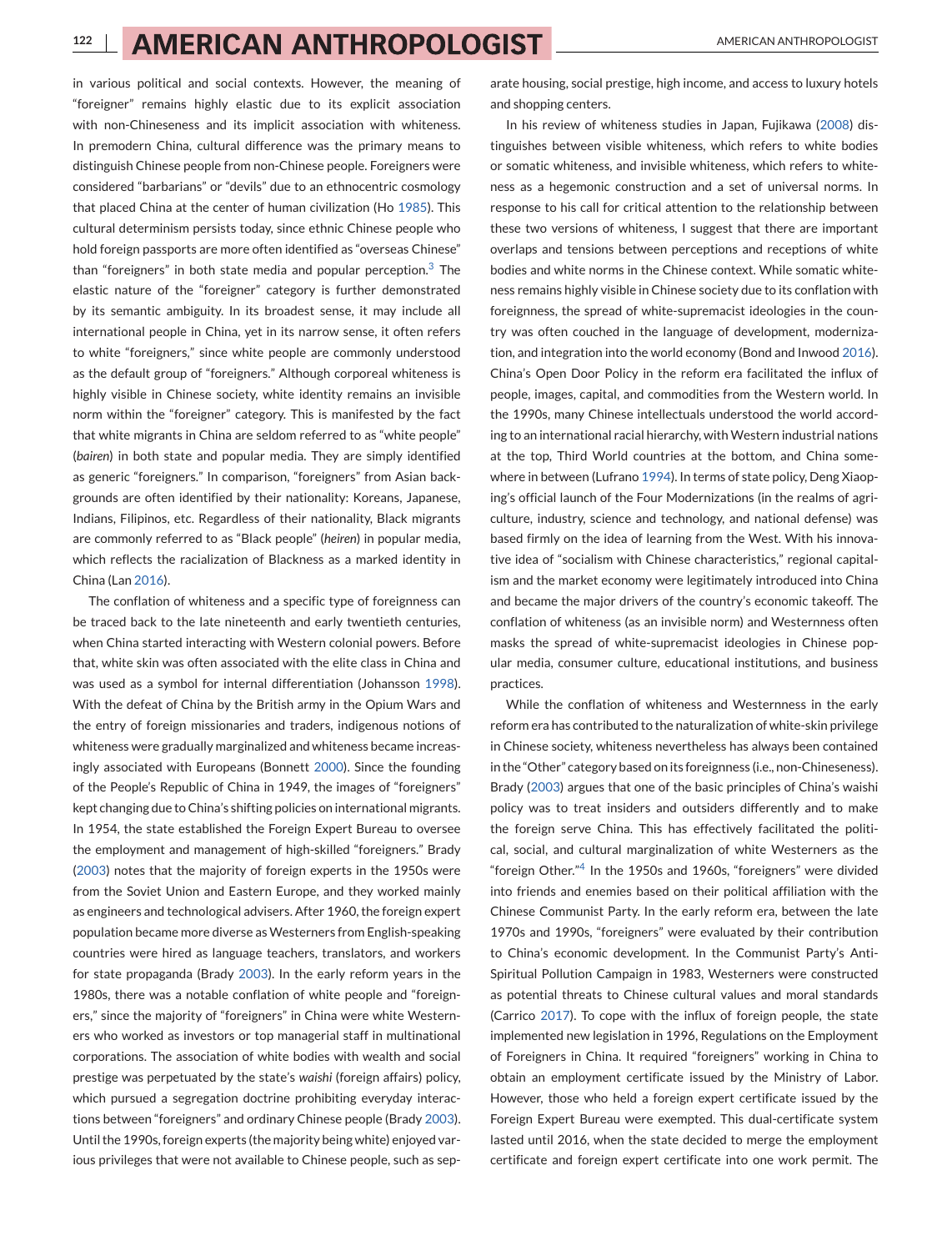in various political and social contexts. However, the meaning of "foreigner" remains highly elastic due to its explicit association with non-Chineseness and its implicit association with whiteness. In premodern China, cultural difference was the primary means to distinguish Chinese people from non-Chinese people. Foreigners were considered "barbarians" or "devils" due to an ethnocentric cosmology that placed China at the center of human civilization (Ho [1985\)](#page-11-0). This cultural determinism persists today, since ethnic Chinese people who hold foreign passports are more often identified as "overseas Chinese" than "foreigners" in both state media and popular perception[.](#page-10-0) $3$  The elastic nature of the "foreigner" category is further demonstrated by its semantic ambiguity. In its broadest sense, it may include all international people in China, yet in its narrow sense, it often refers to white "foreigners," since white people are commonly understood as the default group of "foreigners." Although corporeal whiteness is highly visible in Chinese society, white identity remains an invisible norm within the "foreigner" category. This is manifested by the fact that white migrants in China are seldom referred to as "white people" (*bairen*) in both state and popular media. They are simply identified as generic "foreigners." In comparison, "foreigners" from Asian backgrounds are often identified by their nationality: Koreans, Japanese, Indians, Filipinos, etc. Regardless of their nationality, Black migrants are commonly referred to as "Black people" (*heiren*) in popular media, which reflects the racialization of Blackness as a marked identity in China (Lan [2016\)](#page-11-0).

The conflation of whiteness and a specific type of foreignness can be traced back to the late nineteenth and early twentieth centuries, when China started interacting with Western colonial powers. Before that, white skin was often associated with the elite class in China and was used as a symbol for internal differentiation (Johansson [1998\)](#page-11-0). With the defeat of China by the British army in the Opium Wars and the entry of foreign missionaries and traders, indigenous notions of whiteness were gradually marginalized and whiteness became increasingly associated with Europeans (Bonnett [2000\)](#page-10-0). Since the founding of the People's Republic of China in 1949, the images of "foreigners" kept changing due to China's shifting policies on international migrants. In 1954, the state established the Foreign Expert Bureau to oversee the employment and management of high-skilled "foreigners." Brady [\(2003\)](#page-11-0) notes that the majority of foreign experts in the 1950s were from the Soviet Union and Eastern Europe, and they worked mainly as engineers and technological advisers. After 1960, the foreign expert population became more diverse as Westerners from English-speaking countries were hired as language teachers, translators, and workers for state propaganda (Brady [2003\)](#page-11-0). In the early reform years in the 1980s, there was a notable conflation of white people and "foreigners," since the majority of "foreigners" in China were white Westerners who worked as investors or top managerial staff in multinational corporations. The association of white bodies with wealth and social prestige was perpetuated by the state's *waishi* (foreign affairs) policy, which pursued a segregation doctrine prohibiting everyday interactions between "foreigners" and ordinary Chinese people (Brady [2003\)](#page-11-0). Until the 1990s, foreign experts (the majority being white) enjoyed various privileges that were not available to Chinese people, such as sep-

arate housing, social prestige, high income, and access to luxury hotels and shopping centers.

In his review of whiteness studies in Japan, Fujikawa [\(2008\)](#page-11-0) distinguishes between visible whiteness, which refers to white bodies or somatic whiteness, and invisible whiteness, which refers to whiteness as a hegemonic construction and a set of universal norms. In response to his call for critical attention to the relationship between these two versions of whiteness, I suggest that there are important overlaps and tensions between perceptions and receptions of white bodies and white norms in the Chinese context. While somatic whiteness remains highly visible in Chinese society due to its conflation with foreignness, the spread of white-supremacist ideologies in the country was often couched in the language of development, modernization, and integration into the world economy (Bond and Inwood [2016\)](#page-10-0). China's Open Door Policy in the reform era facilitated the influx of people, images, capital, and commodities from the Western world. In the 1990s, many Chinese intellectuals understood the world according to an international racial hierarchy, with Western industrial nations at the top, Third World countries at the bottom, and China somewhere in between (Lufrano [1994\)](#page-11-0). In terms of state policy, Deng Xiaoping's official launch of the Four Modernizations (in the realms of agriculture, industry, science and technology, and national defense) was based firmly on the idea of learning from the West. With his innovative idea of "socialism with Chinese characteristics," regional capitalism and the market economy were legitimately introduced into China and became the major drivers of the country's economic takeoff. The conflation of whiteness (as an invisible norm) and Westernness often masks the spread of white-supremacist ideologies in Chinese popular media, consumer culture, educational institutions, and business practices.

While the conflation of whiteness and Westernness in the early reform era has contributed to the naturalization of white-skin privilege in Chinese society, whiteness nevertheless has always been contained in the "Other" category based on its foreignness (i.e., non-Chineseness). Brady [\(2003\)](#page-11-0) argues that one of the basic principles of China's waishi policy was to treat insiders and outsiders differently and to make the foreign serve China. This has effectively facilitated the political, social, and cultural marginalization of white Westerners as the "foreign Other.["](#page-10-0)4 In the 1950s and 1960s, "foreigners" were divided into friends and enemies based on their political affiliation with the Chinese Communist Party. In the early reform era, between the late 1970s and 1990s, "foreigners" were evaluated by their contribution to China's economic development. In the Communist Party's Anti-Spiritual Pollution Campaign in 1983, Westerners were constructed as potential threats to Chinese cultural values and moral standards (Carrico [2017\)](#page-11-0). To cope with the influx of foreign people, the state implemented new legislation in 1996, Regulations on the Employment of Foreigners in China. It required "foreigners" working in China to obtain an employment certificate issued by the Ministry of Labor. However, those who held a foreign expert certificate issued by the Foreign Expert Bureau were exempted. This dual-certificate system lasted until 2016, when the state decided to merge the employment certificate and foreign expert certificate into one work permit. The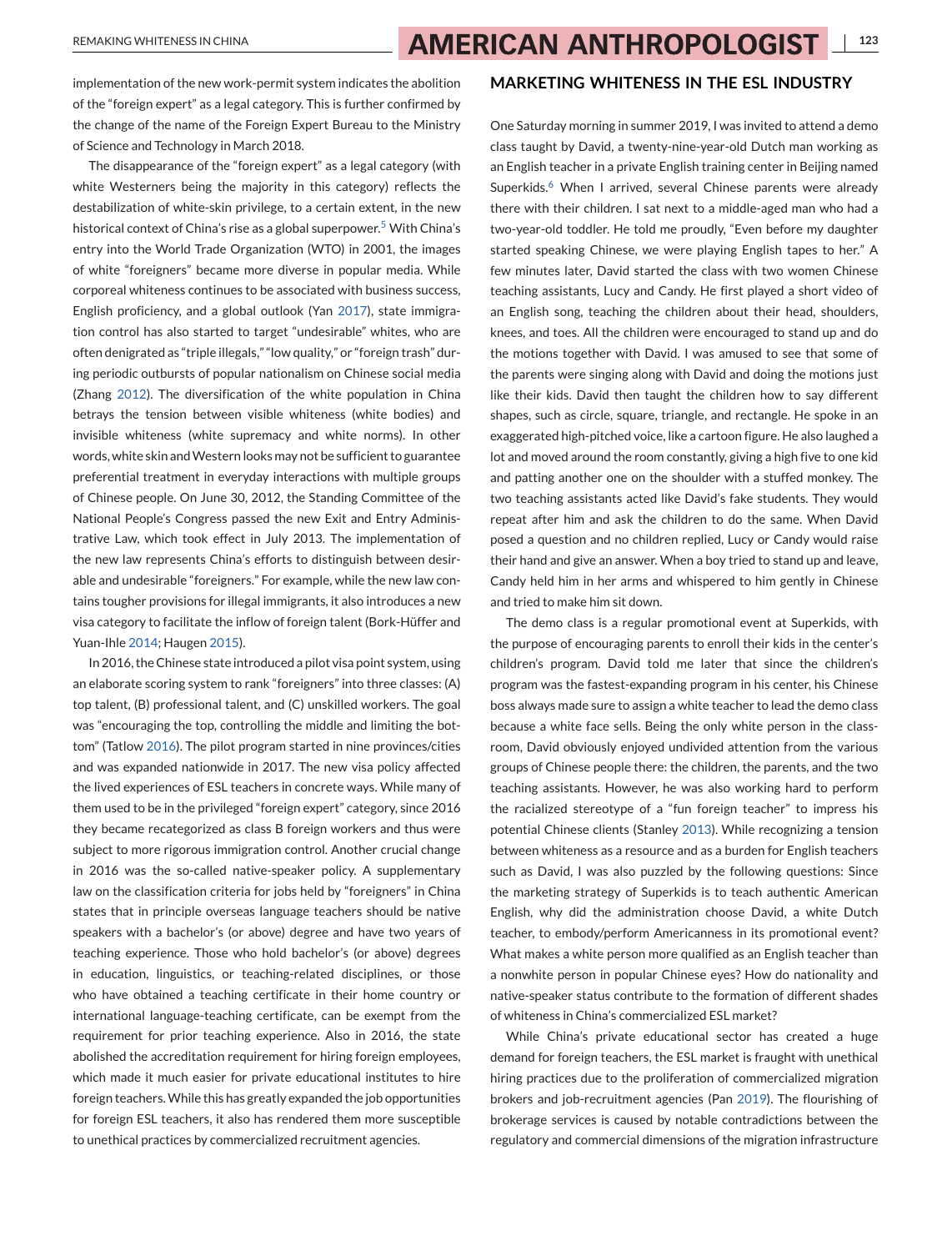REMAKING WHITENESS IN CHINA **123** AMERICAN ANTHROPOLOGIST 123

implementation of the new work-permit system indicates the abolition of the "foreign expert" as a legal category. This is further confirmed by the change of the name of the Foreign Expert Bureau to the Ministry of Science and Technology in March 2018.

The disappearance of the "foreign expert" as a legal category (with white Westerners being the majority in this category) reflects the destabilization of white-skin privilege, to a certain extent, in the new historical context of China's rise as a global superpower[.](#page-10-0)<sup>5</sup> With China's entry into the World Trade Organization (WTO) in 2001, the images of white "foreigners" became more diverse in popular media. While corporeal whiteness continues to be associated with business success, English proficiency, and a global outlook (Yan [2017\)](#page-12-0), state immigration control has also started to target "undesirable" whites, who are often denigrated as "triple illegals," "low quality," or "foreign trash" during periodic outbursts of popular nationalism on Chinese social media (Zhang [2012\)](#page-12-0). The diversification of the white population in China betrays the tension between visible whiteness (white bodies) and invisible whiteness (white supremacy and white norms). In other words, white skin and Western looks may not be sufficient to guarantee preferential treatment in everyday interactions with multiple groups of Chinese people. On June 30, 2012, the Standing Committee of the National People's Congress passed the new Exit and Entry Administrative Law, which took effect in July 2013. The implementation of the new law represents China's efforts to distinguish between desirable and undesirable "foreigners." For example, while the new law contains tougher provisions for illegal immigrants, it also introduces a new visa category to facilitate the inflow of foreign talent (Bork-Hüffer and Yuan-Ihle [2014;](#page-10-0) Haugen [2015\)](#page-11-0).

In 2016, the Chinese state introduced a pilot visa point system, using an elaborate scoring system to rank "foreigners" into three classes: (A) top talent, (B) professional talent, and (C) unskilled workers. The goal was "encouraging the top, controlling the middle and limiting the bottom" (Tatlow [2016\)](#page-11-0). The pilot program started in nine provinces/cities and was expanded nationwide in 2017. The new visa policy affected the lived experiences of ESL teachers in concrete ways. While many of them used to be in the privileged "foreign expert" category, since 2016 they became recategorized as class B foreign workers and thus were subject to more rigorous immigration control. Another crucial change in 2016 was the so-called native-speaker policy. A supplementary law on the classification criteria for jobs held by "foreigners" in China states that in principle overseas language teachers should be native speakers with a bachelor's (or above) degree and have two years of teaching experience. Those who hold bachelor's (or above) degrees in education, linguistics, or teaching-related disciplines, or those who have obtained a teaching certificate in their home country or international language-teaching certificate, can be exempt from the requirement for prior teaching experience. Also in 2016, the state abolished the accreditation requirement for hiring foreign employees, which made it much easier for private educational institutes to hire foreign teachers.While this has greatly expanded the job opportunities for foreign ESL teachers, it also has rendered them more susceptible to unethical practices by commercialized recruitment agencies.

### **MARKETING WHITENESS IN THE ESL INDUSTRY**

One Saturday morning in summer 2019, I was invited to attend a demo class taught by David, a twenty-nine-year-old Dutch man working as an English teacher in a private English training center in Beijing named Superkids[.](#page-10-0)<sup>6</sup> When I arrived, several Chinese parents were already there with their children. I sat next to a middle-aged man who had a two-year-old toddler. He told me proudly, "Even before my daughter started speaking Chinese, we were playing English tapes to her." A few minutes later, David started the class with two women Chinese teaching assistants, Lucy and Candy. He first played a short video of an English song, teaching the children about their head, shoulders, knees, and toes. All the children were encouraged to stand up and do the motions together with David. I was amused to see that some of the parents were singing along with David and doing the motions just like their kids. David then taught the children how to say different shapes, such as circle, square, triangle, and rectangle. He spoke in an exaggerated high-pitched voice, like a cartoon figure. He also laughed a lot and moved around the room constantly, giving a high five to one kid and patting another one on the shoulder with a stuffed monkey. The two teaching assistants acted like David's fake students. They would repeat after him and ask the children to do the same. When David posed a question and no children replied, Lucy or Candy would raise their hand and give an answer. When a boy tried to stand up and leave, Candy held him in her arms and whispered to him gently in Chinese and tried to make him sit down.

The demo class is a regular promotional event at Superkids, with the purpose of encouraging parents to enroll their kids in the center's children's program. David told me later that since the children's program was the fastest-expanding program in his center, his Chinese boss always made sure to assign a white teacher to lead the demo class because a white face sells. Being the only white person in the classroom, David obviously enjoyed undivided attention from the various groups of Chinese people there: the children, the parents, and the two teaching assistants. However, he was also working hard to perform the racialized stereotype of a "fun foreign teacher" to impress his potential Chinese clients (Stanley [2013\)](#page-11-0). While recognizing a tension between whiteness as a resource and as a burden for English teachers such as David, I was also puzzled by the following questions: Since the marketing strategy of Superkids is to teach authentic American English, why did the administration choose David, a white Dutch teacher, to embody/perform Americanness in its promotional event? What makes a white person more qualified as an English teacher than a nonwhite person in popular Chinese eyes? How do nationality and native-speaker status contribute to the formation of different shades of whiteness in China's commercialized ESL market?

While China's private educational sector has created a huge demand for foreign teachers, the ESL market is fraught with unethical hiring practices due to the proliferation of commercialized migration brokers and job-recruitment agencies (Pan [2019\)](#page-11-0). The flourishing of brokerage services is caused by notable contradictions between the regulatory and commercial dimensions of the migration infrastructure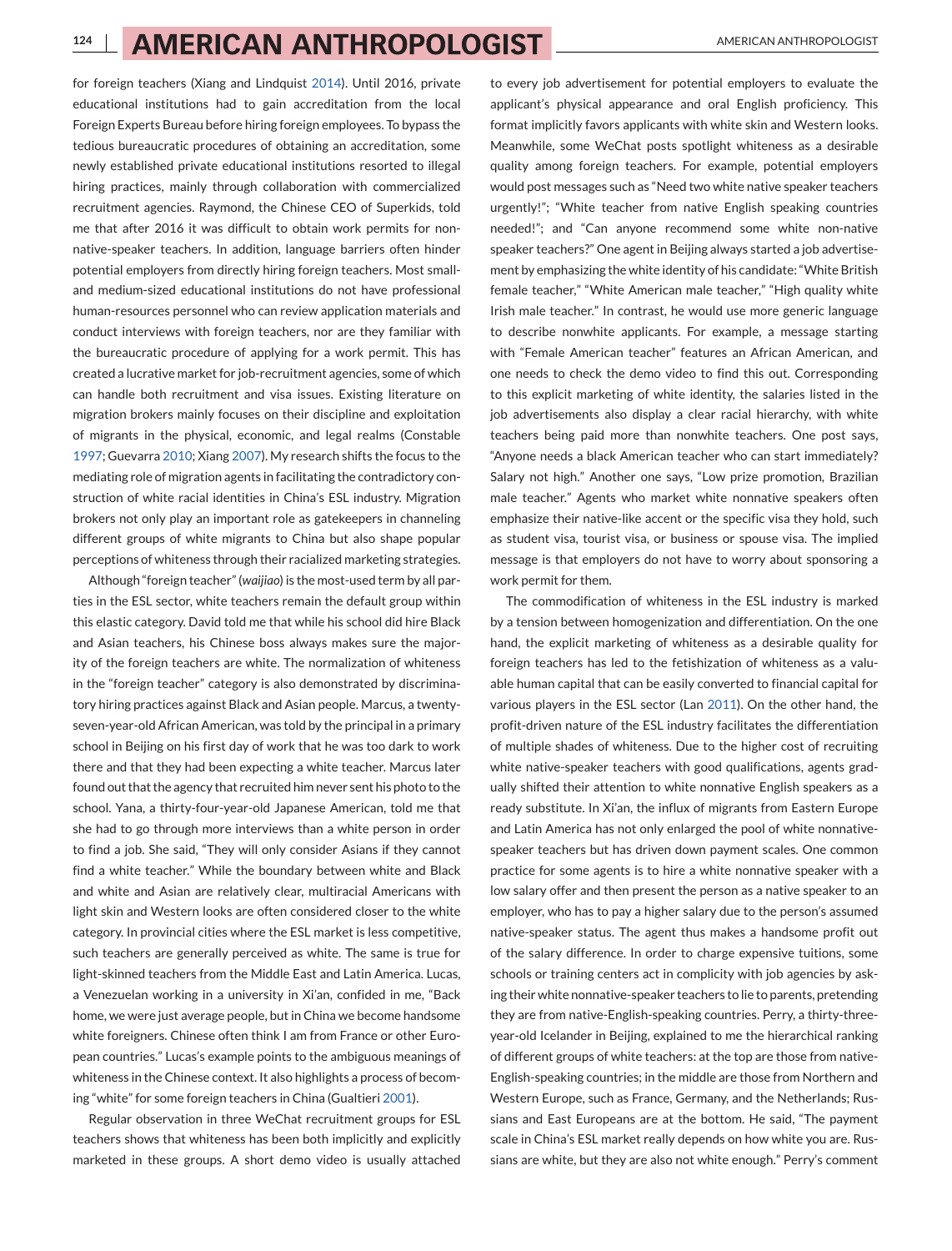for foreign teachers (Xiang and Lindquist [2014\)](#page-12-0). Until 2016, private educational institutions had to gain accreditation from the local Foreign Experts Bureau before hiring foreign employees. To bypass the tedious bureaucratic procedures of obtaining an accreditation, some newly established private educational institutions resorted to illegal hiring practices, mainly through collaboration with commercialized recruitment agencies. Raymond, the Chinese CEO of Superkids, told me that after 2016 it was difficult to obtain work permits for nonnative-speaker teachers. In addition, language barriers often hinder potential employers from directly hiring foreign teachers. Most smalland medium-sized educational institutions do not have professional human-resources personnel who can review application materials and conduct interviews with foreign teachers, nor are they familiar with the bureaucratic procedure of applying for a work permit. This has created a lucrative market for job-recruitment agencies, some of which can handle both recruitment and visa issues. Existing literature on migration brokers mainly focuses on their discipline and exploitation of migrants in the physical, economic, and legal realms (Constable [1997;](#page-11-0) Guevarra [2010;](#page-11-0) Xiang [2007\)](#page-12-0). My research shifts the focus to the mediating role of migration agents in facilitating the contradictory construction of white racial identities in China's ESL industry. Migration brokers not only play an important role as gatekeepers in channeling different groups of white migrants to China but also shape popular perceptions of whiteness through their racialized marketing strategies.

Although "foreign teacher" (*waijiao*) is the most-used term by all parties in the ESL sector, white teachers remain the default group within this elastic category. David told me that while his school did hire Black and Asian teachers, his Chinese boss always makes sure the majority of the foreign teachers are white. The normalization of whiteness in the "foreign teacher" category is also demonstrated by discriminatory hiring practices against Black and Asian people. Marcus, a twentyseven-year-old African American, was told by the principal in a primary school in Beijing on his first day of work that he was too dark to work there and that they had been expecting a white teacher. Marcus later found out that the agency that recruited him never sent his photo to the school. Yana, a thirty-four-year-old Japanese American, told me that she had to go through more interviews than a white person in order to find a job. She said, "They will only consider Asians if they cannot find a white teacher." While the boundary between white and Black and white and Asian are relatively clear, multiracial Americans with light skin and Western looks are often considered closer to the white category. In provincial cities where the ESL market is less competitive, such teachers are generally perceived as white. The same is true for light-skinned teachers from the Middle East and Latin America. Lucas, a Venezuelan working in a university in Xi'an, confided in me, "Back home, we were just average people, but in China we become handsome white foreigners. Chinese often think I am from France or other European countries." Lucas's example points to the ambiguous meanings of whiteness in the Chinese context. It also highlights a process of becoming "white" for some foreign teachers in China (Gualtieri [2001\)](#page-11-0).

Regular observation in three WeChat recruitment groups for ESL teachers shows that whiteness has been both implicitly and explicitly marketed in these groups. A short demo video is usually attached

to every job advertisement for potential employers to evaluate the applicant's physical appearance and oral English proficiency. This format implicitly favors applicants with white skin and Western looks. Meanwhile, some WeChat posts spotlight whiteness as a desirable quality among foreign teachers. For example, potential employers would post messages such as "Need two white native speaker teachers urgently!"; "White teacher from native English speaking countries needed!"; and "Can anyone recommend some white non-native speaker teachers?" One agent in Beijing always started a job advertisement by emphasizing the white identity of his candidate: "White British female teacher," "White American male teacher," "High quality white Irish male teacher." In contrast, he would use more generic language to describe nonwhite applicants. For example, a message starting with "Female American teacher" features an African American, and one needs to check the demo video to find this out. Corresponding to this explicit marketing of white identity, the salaries listed in the job advertisements also display a clear racial hierarchy, with white teachers being paid more than nonwhite teachers. One post says, "Anyone needs a black American teacher who can start immediately? Salary not high." Another one says, "Low prize promotion, Brazilian male teacher." Agents who market white nonnative speakers often emphasize their native-like accent or the specific visa they hold, such as student visa, tourist visa, or business or spouse visa. The implied message is that employers do not have to worry about sponsoring a work permit for them.

The commodification of whiteness in the ESL industry is marked by a tension between homogenization and differentiation. On the one hand, the explicit marketing of whiteness as a desirable quality for foreign teachers has led to the fetishization of whiteness as a valuable human capital that can be easily converted to financial capital for various players in the ESL sector (Lan [2011\)](#page-11-0). On the other hand, the profit-driven nature of the ESL industry facilitates the differentiation of multiple shades of whiteness. Due to the higher cost of recruiting white native-speaker teachers with good qualifications, agents gradually shifted their attention to white nonnative English speakers as a ready substitute. In Xi'an, the influx of migrants from Eastern Europe and Latin America has not only enlarged the pool of white nonnativespeaker teachers but has driven down payment scales. One common practice for some agents is to hire a white nonnative speaker with a low salary offer and then present the person as a native speaker to an employer, who has to pay a higher salary due to the person's assumed native-speaker status. The agent thus makes a handsome profit out of the salary difference. In order to charge expensive tuitions, some schools or training centers act in complicity with job agencies by asking their white nonnative-speaker teachers to lie to parents, pretending they are from native-English-speaking countries. Perry, a thirty-threeyear-old Icelander in Beijing, explained to me the hierarchical ranking of different groups of white teachers: at the top are those from native-English-speaking countries; in the middle are those from Northern and Western Europe, such as France, Germany, and the Netherlands; Russians and East Europeans are at the bottom. He said, "The payment scale in China's ESL market really depends on how white you are. Russians are white, but they are also not white enough." Perry's comment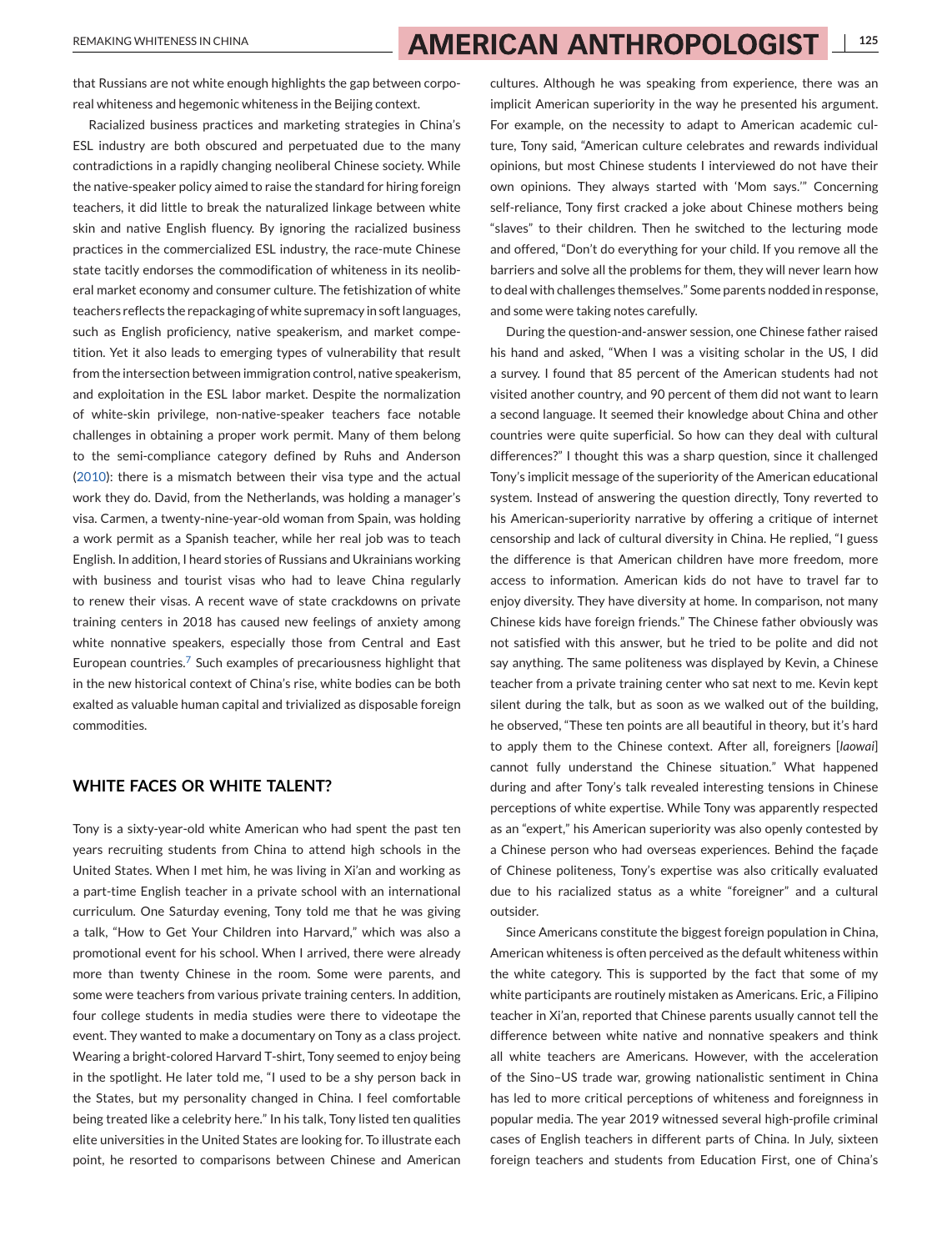that Russians are not white enough highlights the gap between corporeal whiteness and hegemonic whiteness in the Beijing context.

Racialized business practices and marketing strategies in China's ESL industry are both obscured and perpetuated due to the many contradictions in a rapidly changing neoliberal Chinese society. While the native-speaker policy aimed to raise the standard for hiring foreign teachers, it did little to break the naturalized linkage between white skin and native English fluency. By ignoring the racialized business practices in the commercialized ESL industry, the race-mute Chinese state tacitly endorses the commodification of whiteness in its neoliberal market economy and consumer culture. The fetishization of white teachers reflects the repackaging of white supremacy in soft languages, such as English proficiency, native speakerism, and market competition. Yet it also leads to emerging types of vulnerability that result from the intersection between immigration control, native speakerism, and exploitation in the ESL labor market. Despite the normalization of white-skin privilege, non-native-speaker teachers face notable challenges in obtaining a proper work permit. Many of them belong to the semi-compliance category defined by Ruhs and Anderson [\(2010\)](#page-11-0): there is a mismatch between their visa type and the actual work they do. David, from the Netherlands, was holding a manager's visa. Carmen, a twenty-nine-year-old woman from Spain, was holding a work permit as a Spanish teacher, while her real job was to teach English. In addition, I heard stories of Russians and Ukrainians working with business and tourist visas who had to leave China regularly to renew their visas. A recent wave of state crackdowns on private training centers in 2018 has caused new feelings of anxiety among white nonnative speakers, especially those from Central and East European countries[.](#page-10-0)<sup>7</sup> Such examples of precariousness highlight that in the new historical context of China's rise, white bodies can be both exalted as valuable human capital and trivialized as disposable foreign commodities.

### **WHITE FACES OR WHITE TALENT?**

Tony is a sixty-year-old white American who had spent the past ten years recruiting students from China to attend high schools in the United States. When I met him, he was living in Xi'an and working as a part-time English teacher in a private school with an international curriculum. One Saturday evening, Tony told me that he was giving a talk, "How to Get Your Children into Harvard," which was also a promotional event for his school. When I arrived, there were already more than twenty Chinese in the room. Some were parents, and some were teachers from various private training centers. In addition, four college students in media studies were there to videotape the event. They wanted to make a documentary on Tony as a class project. Wearing a bright-colored Harvard T-shirt, Tony seemed to enjoy being in the spotlight. He later told me, "I used to be a shy person back in the States, but my personality changed in China. I feel comfortable being treated like a celebrity here." In his talk, Tony listed ten qualities elite universities in the United States are looking for. To illustrate each point, he resorted to comparisons between Chinese and American

cultures. Although he was speaking from experience, there was an implicit American superiority in the way he presented his argument. For example, on the necessity to adapt to American academic culture, Tony said, "American culture celebrates and rewards individual opinions, but most Chinese students I interviewed do not have their own opinions. They always started with 'Mom says.'" Concerning self-reliance, Tony first cracked a joke about Chinese mothers being "slaves" to their children. Then he switched to the lecturing mode and offered, "Don't do everything for your child. If you remove all the barriers and solve all the problems for them, they will never learn how to deal with challenges themselves." Some parents nodded in response, and some were taking notes carefully.

During the question-and-answer session, one Chinese father raised his hand and asked, "When I was a visiting scholar in the US, I did a survey. I found that 85 percent of the American students had not visited another country, and 90 percent of them did not want to learn a second language. It seemed their knowledge about China and other countries were quite superficial. So how can they deal with cultural differences?" I thought this was a sharp question, since it challenged Tony's implicit message of the superiority of the American educational system. Instead of answering the question directly, Tony reverted to his American-superiority narrative by offering a critique of internet censorship and lack of cultural diversity in China. He replied, "I guess the difference is that American children have more freedom, more access to information. American kids do not have to travel far to enjoy diversity. They have diversity at home. In comparison, not many Chinese kids have foreign friends." The Chinese father obviously was not satisfied with this answer, but he tried to be polite and did not say anything. The same politeness was displayed by Kevin, a Chinese teacher from a private training center who sat next to me. Kevin kept silent during the talk, but as soon as we walked out of the building, he observed, "These ten points are all beautiful in theory, but it's hard to apply them to the Chinese context. After all, foreigners [*laowai*] cannot fully understand the Chinese situation." What happened during and after Tony's talk revealed interesting tensions in Chinese perceptions of white expertise. While Tony was apparently respected as an "expert," his American superiority was also openly contested by a Chinese person who had overseas experiences. Behind the façade of Chinese politeness, Tony's expertise was also critically evaluated due to his racialized status as a white "foreigner" and a cultural outsider.

Since Americans constitute the biggest foreign population in China, American whiteness is often perceived as the default whiteness within the white category. This is supported by the fact that some of my white participants are routinely mistaken as Americans. Eric, a Filipino teacher in Xi'an, reported that Chinese parents usually cannot tell the difference between white native and nonnative speakers and think all white teachers are Americans. However, with the acceleration of the Sino–US trade war, growing nationalistic sentiment in China has led to more critical perceptions of whiteness and foreignness in popular media. The year 2019 witnessed several high-profile criminal cases of English teachers in different parts of China. In July, sixteen foreign teachers and students from Education First, one of China's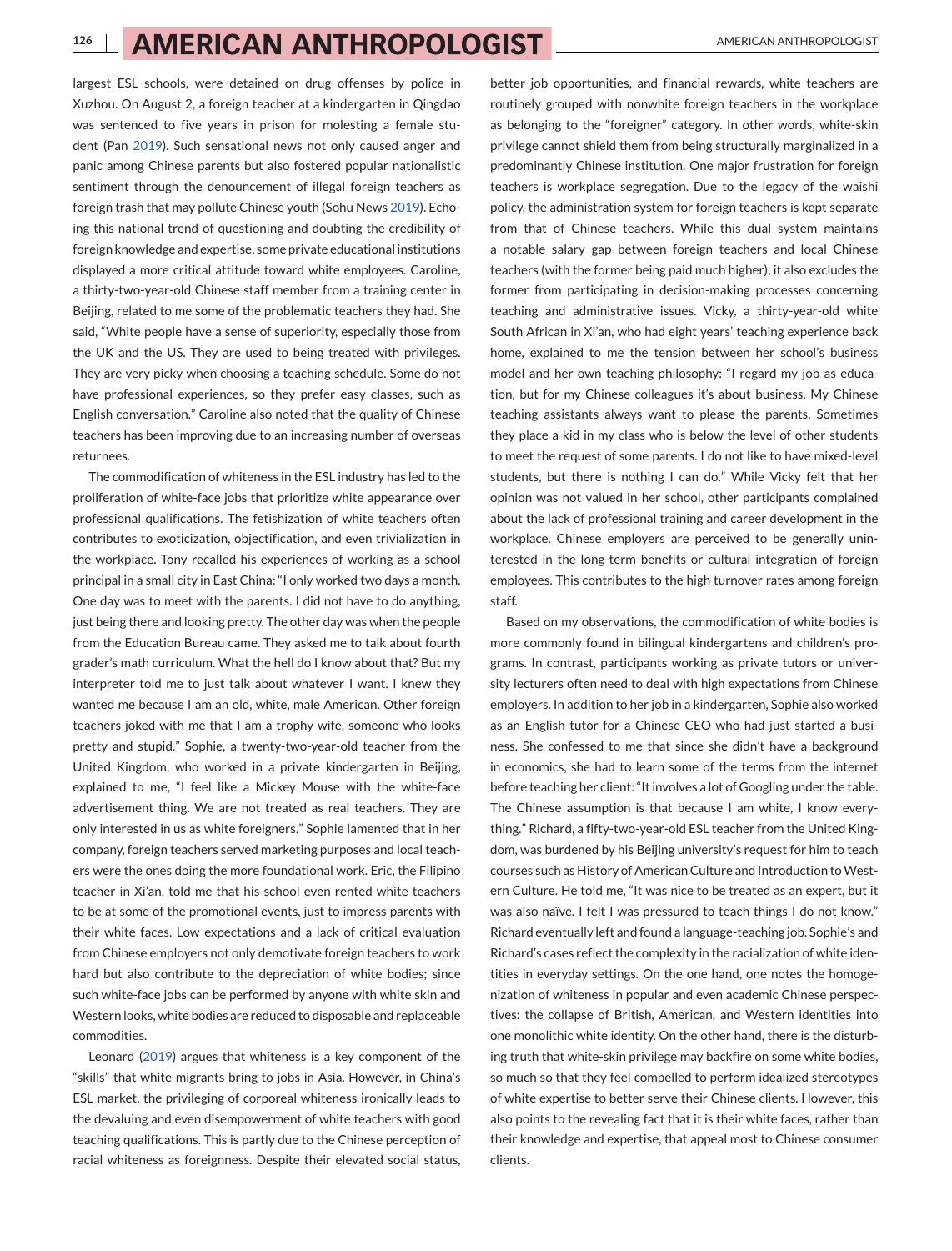# **126 | AMERICAN ANTHROPOLOGIST** AMERICAN ANTHROPOLOGIST

largest ESL schools, were detained on drug offenses by police in Xuzhou. On August 2, a foreign teacher at a kindergarten in Qingdao was sentenced to five years in prison for molesting a female student (Pan [2019\)](#page-11-0). Such sensational news not only caused anger and panic among Chinese parents but also fostered popular nationalistic sentiment through the denouncement of illegal foreign teachers as foreign trash that may pollute Chinese youth (Sohu News [2019\)](#page-11-0). Echoing this national trend of questioning and doubting the credibility of foreign knowledge and expertise, some private educational institutions displayed a more critical attitude toward white employees. Caroline, a thirty-two-year-old Chinese staff member from a training center in Beijing, related to me some of the problematic teachers they had. She said, "White people have a sense of superiority, especially those from the UK and the US. They are used to being treated with privileges. They are very picky when choosing a teaching schedule. Some do not have professional experiences, so they prefer easy classes, such as English conversation." Caroline also noted that the quality of Chinese teachers has been improving due to an increasing number of overseas returnees.

The commodification of whiteness in the ESL industry has led to the proliferation of white-face jobs that prioritize white appearance over professional qualifications. The fetishization of white teachers often contributes to exoticization, objectification, and even trivialization in the workplace. Tony recalled his experiences of working as a school principal in a small city in East China: "I only worked two days a month. One day was to meet with the parents. I did not have to do anything, just being there and looking pretty. The other day was when the people from the Education Bureau came. They asked me to talk about fourth grader's math curriculum. What the hell do I know about that? But my interpreter told me to just talk about whatever I want. I knew they wanted me because I am an old, white, male American. Other foreign teachers joked with me that I am a trophy wife, someone who looks pretty and stupid." Sophie, a twenty-two-year-old teacher from the United Kingdom, who worked in a private kindergarten in Beijing, explained to me, "I feel like a Mickey Mouse with the white-face advertisement thing. We are not treated as real teachers. They are only interested in us as white foreigners." Sophie lamented that in her company, foreign teachers served marketing purposes and local teachers were the ones doing the more foundational work. Eric, the Filipino teacher in Xi'an, told me that his school even rented white teachers to be at some of the promotional events, just to impress parents with their white faces. Low expectations and a lack of critical evaluation from Chinese employers not only demotivate foreign teachers to work hard but also contribute to the depreciation of white bodies; since such white-face jobs can be performed by anyone with white skin and Western looks, white bodies are reduced to disposable and replaceable commodities.

Leonard [\(2019\)](#page-11-0) argues that whiteness is a key component of the "skills" that white migrants bring to jobs in Asia. However, in China's ESL market, the privileging of corporeal whiteness ironically leads to the devaluing and even disempowerment of white teachers with good teaching qualifications. This is partly due to the Chinese perception of racial whiteness as foreignness. Despite their elevated social status,

better job opportunities, and financial rewards, white teachers are routinely grouped with nonwhite foreign teachers in the workplace as belonging to the "foreigner" category. In other words, white-skin privilege cannot shield them from being structurally marginalized in a predominantly Chinese institution. One major frustration for foreign teachers is workplace segregation. Due to the legacy of the waishi policy, the administration system for foreign teachers is kept separate from that of Chinese teachers. While this dual system maintains a notable salary gap between foreign teachers and local Chinese teachers (with the former being paid much higher), it also excludes the former from participating in decision-making processes concerning teaching and administrative issues. Vicky, a thirty-year-old white South African in Xi'an, who had eight years' teaching experience back home, explained to me the tension between her school's business model and her own teaching philosophy: "I regard my job as education, but for my Chinese colleagues it's about business. My Chinese teaching assistants always want to please the parents. Sometimes they place a kid in my class who is below the level of other students to meet the request of some parents. I do not like to have mixed-level students, but there is nothing I can do." While Vicky felt that her opinion was not valued in her school, other participants complained about the lack of professional training and career development in the workplace. Chinese employers are perceived to be generally uninterested in the long-term benefits or cultural integration of foreign employees. This contributes to the high turnover rates among foreign staff.

Based on my observations, the commodification of white bodies is more commonly found in bilingual kindergartens and children's programs. In contrast, participants working as private tutors or university lecturers often need to deal with high expectations from Chinese employers. In addition to her job in a kindergarten, Sophie also worked as an English tutor for a Chinese CEO who had just started a business. She confessed to me that since she didn't have a background in economics, she had to learn some of the terms from the internet before teaching her client: "It involves a lot of Googling under the table. The Chinese assumption is that because I am white, I know everything." Richard, a fifty-two-year-old ESL teacher from the United Kingdom, was burdened by his Beijing university's request for him to teach courses such as History of American Culture and Introduction toWestern Culture. He told me, "It was nice to be treated as an expert, but it was also naïve. I felt I was pressured to teach things I do not know." Richard eventually left and found a language-teaching job. Sophie's and Richard's cases reflect the complexity in the racialization of white identities in everyday settings. On the one hand, one notes the homogenization of whiteness in popular and even academic Chinese perspectives: the collapse of British, American, and Western identities into one monolithic white identity. On the other hand, there is the disturbing truth that white-skin privilege may backfire on some white bodies, so much so that they feel compelled to perform idealized stereotypes of white expertise to better serve their Chinese clients. However, this also points to the revealing fact that it is their white faces, rather than their knowledge and expertise, that appeal most to Chinese consumer clients.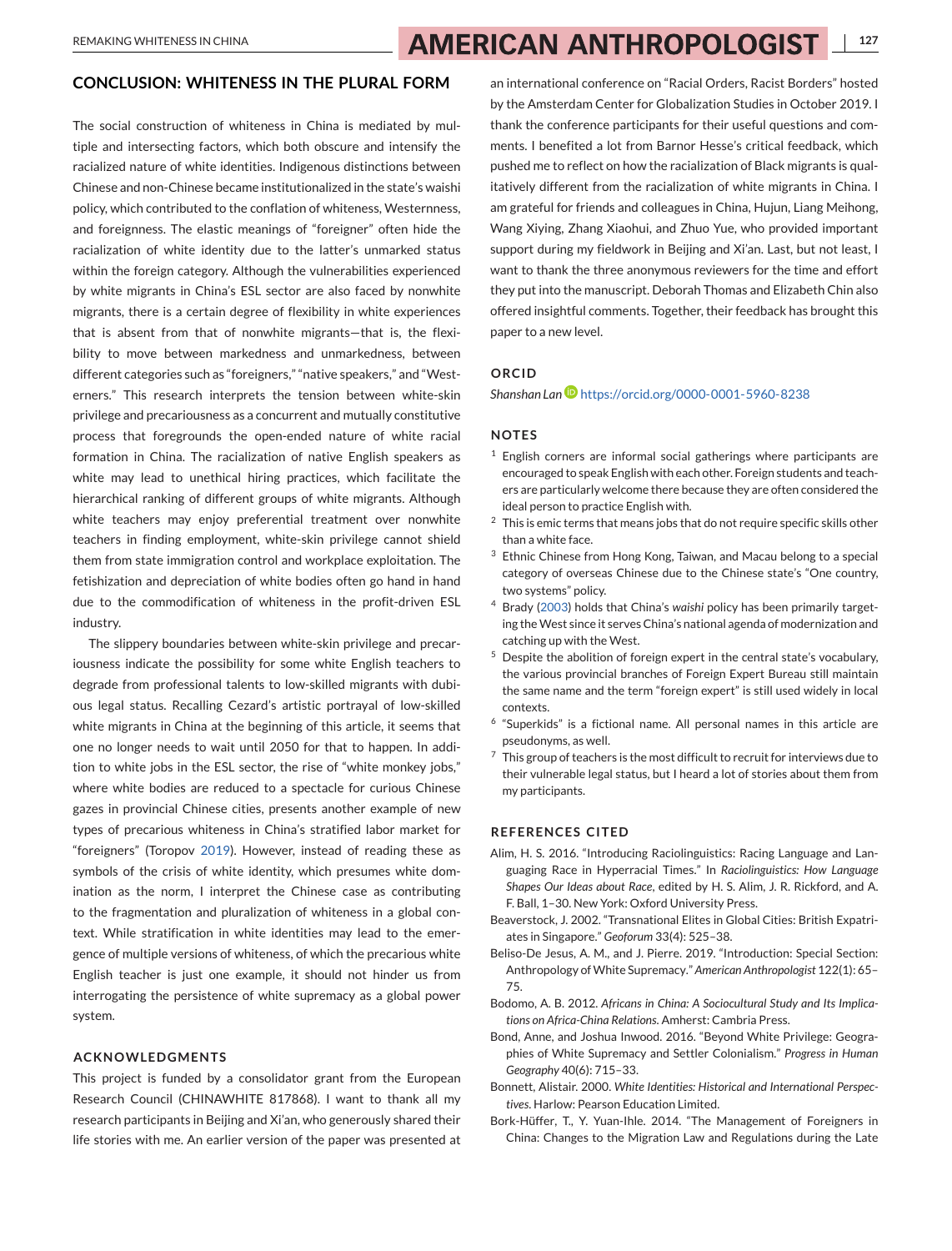#### <span id="page-10-0"></span>**CONCLUSION: WHITENESS IN THE PLURAL FORM**

The social construction of whiteness in China is mediated by multiple and intersecting factors, which both obscure and intensify the racialized nature of white identities. Indigenous distinctions between Chinese and non-Chinese became institutionalized in the state's waishi policy, which contributed to the conflation of whiteness, Westernness, and foreignness. The elastic meanings of "foreigner" often hide the racialization of white identity due to the latter's unmarked status within the foreign category. Although the vulnerabilities experienced by white migrants in China's ESL sector are also faced by nonwhite migrants, there is a certain degree of flexibility in white experiences that is absent from that of nonwhite migrants—that is, the flexibility to move between markedness and unmarkedness, between different categories such as "foreigners," "native speakers," and "Westerners." This research interprets the tension between white-skin privilege and precariousness as a concurrent and mutually constitutive process that foregrounds the open-ended nature of white racial formation in China. The racialization of native English speakers as white may lead to unethical hiring practices, which facilitate the hierarchical ranking of different groups of white migrants. Although white teachers may enjoy preferential treatment over nonwhite teachers in finding employment, white-skin privilege cannot shield them from state immigration control and workplace exploitation. The fetishization and depreciation of white bodies often go hand in hand due to the commodification of whiteness in the profit-driven ESL industry.

The slippery boundaries between white-skin privilege and precariousness indicate the possibility for some white English teachers to degrade from professional talents to low-skilled migrants with dubious legal status. Recalling Cezard's artistic portrayal of low-skilled white migrants in China at the beginning of this article, it seems that one no longer needs to wait until 2050 for that to happen. In addition to white jobs in the ESL sector, the rise of "white monkey jobs," where white bodies are reduced to a spectacle for curious Chinese gazes in provincial Chinese cities, presents another example of new types of precarious whiteness in China's stratified labor market for "foreigners" (Toropov [2019\)](#page-11-0). However, instead of reading these as symbols of the crisis of white identity, which presumes white domination as the norm, I interpret the Chinese case as contributing to the fragmentation and pluralization of whiteness in a global context. While stratification in white identities may lead to the emergence of multiple versions of whiteness, of which the precarious white English teacher is just one example, it should not hinder us from interrogating the persistence of white supremacy as a global power system.

#### **ACKNOWLEDGMENTS**

This project is funded by a consolidator grant from the European Research Council (CHINAWHITE 817868). I want to thank all my research participants in Beijing and Xi'an, who generously shared their life stories with me. An earlier version of the paper was presented at

an international conference on "Racial Orders, Racist Borders" hosted by the Amsterdam Center for Globalization Studies in October 2019. I thank the conference participants for their useful questions and comments. I benefited a lot from Barnor Hesse's critical feedback, which pushed me to reflect on how the racialization of Black migrants is qualitatively different from the racialization of white migrants in China. I am grateful for friends and colleagues in China, Hujun, Liang Meihong, Wang Xiying, Zhang Xiaohui, and Zhuo Yue, who provided important support during my fieldwork in Beijing and Xi'an. Last, but not least, I want to thank the three anonymous reviewers for the time and effort they put into the manuscript. Deborah Thomas and Elizabeth Chin also offered insightful comments. Together, their feedback has brought this paper to a new level.

#### **ORCID**

*Shanshan Lan* <https://orcid.org/0000-0001-5960-8238>

#### **NOTES**

- $1$  English corners are informal social gatherings where participants are encouraged to speak English with each other. Foreign students and teachers are particularly welcome there because they are often considered the ideal person to practice English with.
- $2$  This is emic terms that means jobs that do not require specific skills other than a white face.
- <sup>3</sup> Ethnic Chinese from Hong Kong, Taiwan, and Macau belong to a special category of overseas Chinese due to the Chinese state's "One country, two systems" policy.
- <sup>4</sup> Brady [\(2003\)](#page-11-0) holds that China's *waishi* policy has been primarily targeting theWest since it serves China's national agenda of modernization and catching up with the West.
- <sup>5</sup> Despite the abolition of foreign expert in the central state's vocabulary, the various provincial branches of Foreign Expert Bureau still maintain the same name and the term "foreign expert" is still used widely in local contexts.
- <sup>6</sup> "Superkids" is a fictional name. All personal names in this article are pseudonyms, as well.
- $7$  This group of teachers is the most difficult to recruit for interviews due to their vulnerable legal status, but I heard a lot of stories about them from my participants.

#### **REFERENCES CITED**

- Alim, H. S. 2016. "Introducing Raciolinguistics: Racing Language and Languaging Race in Hyperracial Times." In *Raciolinguistics: How Language Shapes Our Ideas about Race*, edited by H. S. Alim, J. R. Rickford, and A. F. Ball, 1–30. New York: Oxford University Press.
- Beaverstock, J. 2002. "Transnational Elites in Global Cities: British Expatriates in Singapore." *Geoforum* 33(4): 525–38.
- Beliso-De Jesus, A. M., and J. Pierre. 2019. "Introduction: Special Section: Anthropology ofWhite Supremacy." *American Anthropologist* 122(1): 65– 75.
- Bodomo, A. B. 2012. *Africans in China: A Sociocultural Study and Its Implications on Africa-China Relations*. Amherst: Cambria Press.
- Bond, Anne, and Joshua Inwood. 2016. "Beyond White Privilege: Geographies of White Supremacy and Settler Colonialism." *Progress in Human Geography* 40(6): 715–33.
- Bonnett, Alistair. 2000. *White Identities: Historical and International Perspectives*. Harlow: Pearson Education Limited.
- Bork-Hüffer, T., Y. Yuan-Ihle. 2014. "The Management of Foreigners in China: Changes to the Migration Law and Regulations during the Late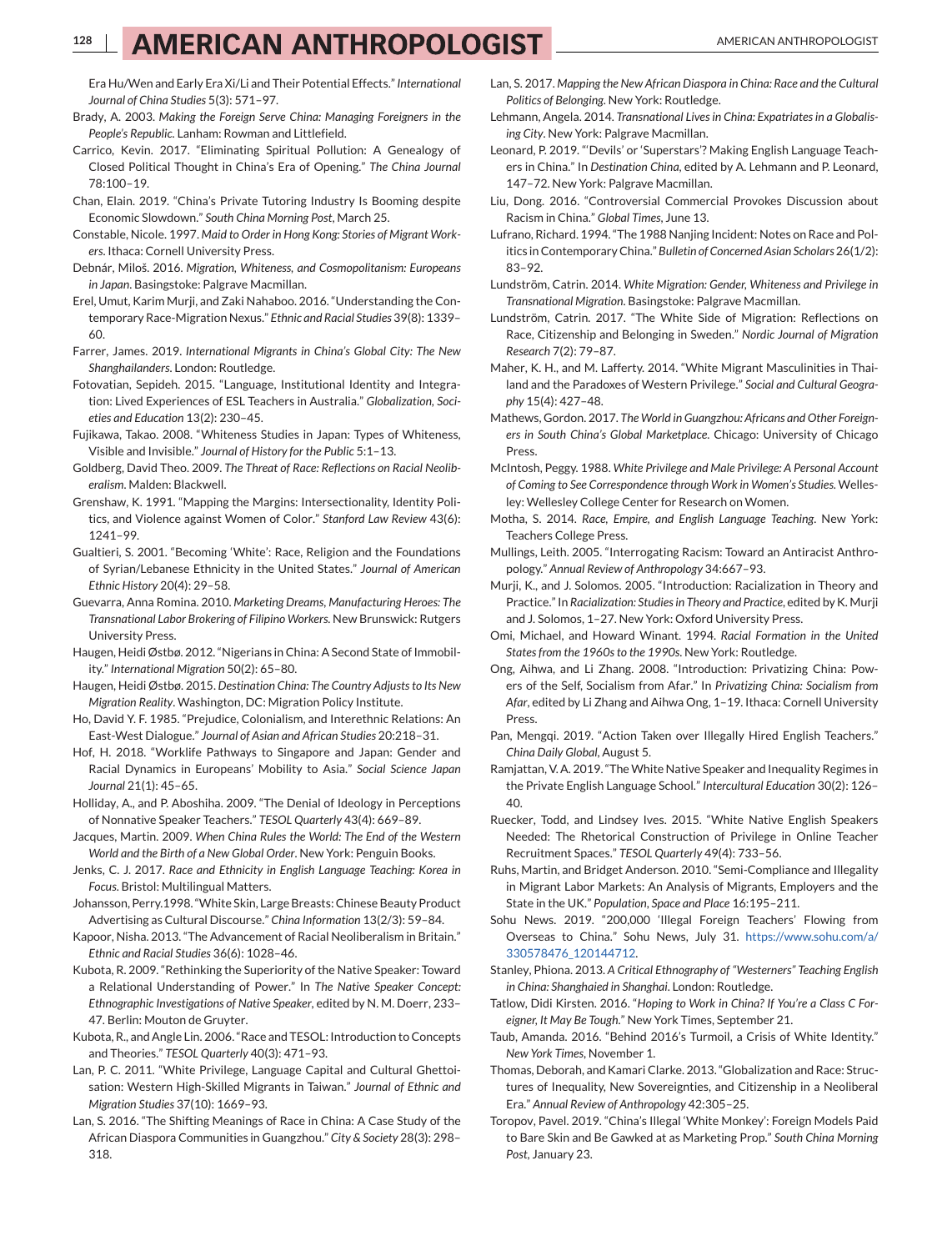# <span id="page-11-0"></span>**128 | AMERICAN ANTHROPOLOGIST** AMERICAN ANTHROPOLOGIST

Era Hu/Wen and Early Era Xi/Li and Their Potential Effects."*International Journal of China Studies* 5(3): 571–97.

- Brady, A. 2003. *Making the Foreign Serve China: Managing Foreigners in the People's Republic*. Lanham: Rowman and Littlefield.
- Carrico, Kevin. 2017. "Eliminating Spiritual Pollution: A Genealogy of Closed Political Thought in China's Era of Opening." *The China Journal* 78:100–19.
- Chan, Elain. 2019. "China's Private Tutoring Industry Is Booming despite Economic Slowdown." *South China Morning Post*, March 25.
- Constable, Nicole. 1997. *Maid to Order in Hong Kong: Stories of Migrant Workers*. Ithaca: Cornell University Press.
- Debnár, Miloš. 2016. *Migration, Whiteness, and Cosmopolitanism: Europeans in Japan*. Basingstoke: Palgrave Macmillan.
- Erel, Umut, Karim Murji, and Zaki Nahaboo. 2016. "Understanding the Contemporary Race-Migration Nexus." *Ethnic and Racial Studies* 39(8): 1339– 60.
- Farrer, James. 2019. *International Migrants in China's Global City: The New Shanghailanders*. London: Routledge.
- Fotovatian, Sepideh. 2015. "Language, Institutional Identity and Integration: Lived Experiences of ESL Teachers in Australia." *Globalization, Societies and Education* 13(2): 230–45.
- Fujikawa, Takao. 2008. "Whiteness Studies in Japan: Types of Whiteness, Visible and Invisible." *Journal of History for the Public* 5:1–13.
- Goldberg, David Theo. 2009. *The Threat of Race: Reflections on Racial Neoliberalism*. Malden: Blackwell.
- Grenshaw, K. 1991. "Mapping the Margins: Intersectionality, Identity Politics, and Violence against Women of Color." *Stanford Law Review* 43(6): 1241–99.
- Gualtieri, S. 2001. "Becoming 'White': Race, Religion and the Foundations of Syrian/Lebanese Ethnicity in the United States." *Journal of American Ethnic History* 20(4): 29–58.
- Guevarra, Anna Romina. 2010. *Marketing Dreams, Manufacturing Heroes: The Transnational Labor Brokering of Filipino Workers*. New Brunswick: Rutgers University Press.
- Haugen, Heidi Østbø. 2012. "Nigerians in China: A Second State of Immobility." *International Migration* 50(2): 65–80.
- Haugen, Heidi Østbø. 2015. *Destination China: The Country Adjusts to Its New Migration Reality*. Washington, DC: Migration Policy Institute.
- Ho, David Y. F. 1985. "Prejudice, Colonialism, and Interethnic Relations: An East-West Dialogue." *Journal of Asian and African Studies* 20:218–31.
- Hof, H. 2018. "Worklife Pathways to Singapore and Japan: Gender and Racial Dynamics in Europeans' Mobility to Asia." *Social Science Japan Journal* 21(1): 45–65.
- Holliday, A., and P. Aboshiha. 2009. "The Denial of Ideology in Perceptions of Nonnative Speaker Teachers." *TESOL Quarterly* 43(4): 669–89.
- Jacques, Martin. 2009. *When China Rules the World: The End of the Western World and the Birth of a New Global Order*. New York: Penguin Books.
- Jenks, C. J. 2017. *Race and Ethnicity in English Language Teaching: Korea in Focus*. Bristol: Multilingual Matters.
- Johansson, Perry.1998. "White Skin, Large Breasts: Chinese Beauty Product Advertising as Cultural Discourse." *China Information* 13(2/3): 59–84.
- Kapoor, Nisha. 2013. "The Advancement of Racial Neoliberalism in Britain." *Ethnic and Racial Studies* 36(6): 1028–46.
- Kubota, R. 2009. "Rethinking the Superiority of the Native Speaker: Toward a Relational Understanding of Power." In *The Native Speaker Concept: Ethnographic Investigations of Native Speaker*, edited by N. M. Doerr, 233– 47. Berlin: Mouton de Gruyter.
- Kubota, R., and Angle Lin. 2006. "Race and TESOL: Introduction to Concepts and Theories." *TESOL Quarterly* 40(3): 471–93.
- Lan, P. C. 2011. "White Privilege, Language Capital and Cultural Ghettoisation: Western High-Skilled Migrants in Taiwan." *Journal of Ethnic and Migration Studies* 37(10): 1669–93.
- Lan, S. 2016. "The Shifting Meanings of Race in China: A Case Study of the African Diaspora Communities in Guangzhou." *City & Society* 28(3): 298– 318.
- Lan, S. 2017. *Mapping the New African Diaspora in China: Race and the Cultural Politics of Belonging*. New York: Routledge.
- Lehmann, Angela. 2014. *Transnational Lives in China: Expatriates in a Globalising City*. New York: Palgrave Macmillan.
- Leonard, P. 2019. "'Devils' or 'Superstars'? Making English Language Teachers in China." In *Destination China*, edited by A. Lehmann and P. Leonard, 147–72. New York: Palgrave Macmillan.
- Liu, Dong. 2016. "Controversial Commercial Provokes Discussion about Racism in China." *Global Times*, June 13.
- Lufrano, Richard. 1994. "The 1988 Nanjing Incident: Notes on Race and Politics in Contemporary China." *Bulletin of Concerned Asian Scholars* 26(1/2): 83–92.
- Lundström, Catrin. 2014. *White Migration: Gender, Whiteness and Privilege in Transnational Migration*. Basingstoke: Palgrave Macmillan.
- Lundström, Catrin. 2017. "The White Side of Migration: Reflections on Race, Citizenship and Belonging in Sweden." *Nordic Journal of Migration Research* 7(2): 79–87.
- Maher, K. H., and M. Lafferty. 2014. "White Migrant Masculinities in Thailand and the Paradoxes of Western Privilege." *Social and Cultural Geography* 15(4): 427–48.
- Mathews, Gordon. 2017. *The World in Guangzhou: Africans and Other Foreigners in South China's Global Marketplace*. Chicago: University of Chicago Press.
- McIntosh, Peggy. 1988. *White Privilege and Male Privilege: A Personal Account of Coming to See Correspondence through Work in Women's Studies*. Wellesley: Wellesley College Center for Research on Women.
- Motha, S. 2014. *Race, Empire, and English Language Teaching*. New York: Teachers College Press.
- Mullings, Leith. 2005. "Interrogating Racism: Toward an Antiracist Anthropology." *Annual Review of Anthropology* 34:667–93.
- Murji, K., and J. Solomos. 2005. "Introduction: Racialization in Theory and Practice." In *Racialization: Studies in Theory and Practice*, edited by K. Murji and J. Solomos, 1–27. New York: Oxford University Press.
- Omi, Michael, and Howard Winant. 1994. *Racial Formation in the United States from the 1960s to the 1990s*. New York: Routledge.
- Ong, Aihwa, and Li Zhang. 2008. "Introduction: Privatizing China: Powers of the Self, Socialism from Afar." In *Privatizing China: Socialism from Afar*, edited by Li Zhang and Aihwa Ong, 1–19. Ithaca: Cornell University Press.
- Pan, Mengqi. 2019. "Action Taken over Illegally Hired English Teachers." *China Daily Global*, August 5.
- Ramjattan, V. A. 2019. "TheWhite Native Speaker and Inequality Regimes in the Private English Language School." *Intercultural Education* 30(2): 126– 40.
- Ruecker, Todd, and Lindsey Ives. 2015. "White Native English Speakers Needed: The Rhetorical Construction of Privilege in Online Teacher Recruitment Spaces." *TESOL Quarterly* 49(4): 733–56.
- Ruhs, Martin, and Bridget Anderson. 2010. "Semi-Compliance and Illegality in Migrant Labor Markets: An Analysis of Migrants, Employers and the State in the UK." *Population*, *Space and Place* 16:195–211.
- Sohu News. 2019. "200,000 'Illegal Foreign Teachers' Flowing from Overseas to China." Sohu News, July 31. [https://www.sohu.com/a/](https://www.sohu.com/a/330578476_120144712) [330578476\\_120144712.](https://www.sohu.com/a/330578476_120144712)
- Stanley, Phiona. 2013. *A Critical Ethnography of "Westerners" Teaching English in China: Shanghaied in Shanghai*. London: Routledge.
- Tatlow, Didi Kirsten. 2016. "*Hoping to Work in China? If You're a Class C Foreigner, It May Be Tough*." New York Times, September 21.
- Taub, Amanda. 2016. "Behind 2016's Turmoil, a Crisis of White Identity." *New York Times*, November 1.
- Thomas, Deborah, and Kamari Clarke. 2013. "Globalization and Race: Structures of Inequality, New Sovereignties, and Citizenship in a Neoliberal Era." *Annual Review of Anthropology* 42:305–25.
- Toropov, Pavel. 2019. "China's Illegal 'White Monkey': Foreign Models Paid to Bare Skin and Be Gawked at as Marketing Prop." *South China Morning Post*, January 23.